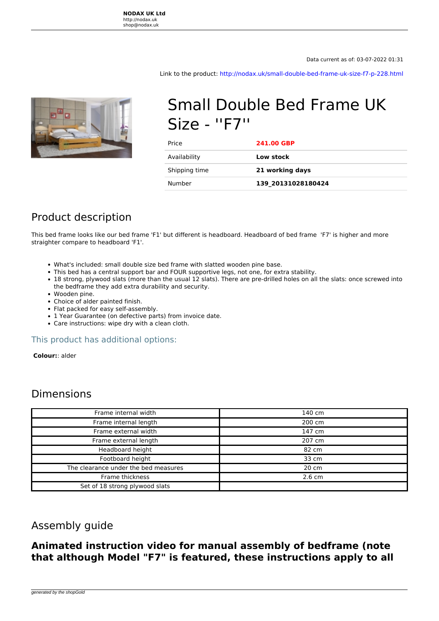**NODAX UK Ltd** http://nodax.uk shop@nodax.uk

Data current as of: 03-07-2022 01:31

Link to the product:<http://nodax.uk/small-double-bed-frame-uk-size-f7-p-228.html>



# Small Double Bed Frame UK Size - ''F7''

| Price         | <b>241.00 GBP</b>  |
|---------------|--------------------|
| Availability  | Low stock          |
| Shipping time | 21 working days    |
| Number        | 139 20131028180424 |

## Product description

This bed frame looks like our bed frame 'F1' but different is headboard. Headboard of bed frame 'F7' is higher and more straighter compare to headboard 'F1'.

- What's included: small double size bed frame with slatted wooden pine base.
- This bed has a central support bar and FOUR supportive legs, not one, for extra stability.
- 18 strong, plywood slats (more than the usual 12 slats). There are pre-drilled holes on all the slats: once screwed into the bedframe they add extra durability and security.
- Wooden pine.
- Choice of alder painted finish.
- Flat packed for easy self-assembly.
- 1 Year Guarantee (on defective parts) from invoice date.
- Care instructions: wipe dry with a clean cloth.

#### This product has additional options:

 **Colour:**: alder

### Dimensions

| Frame internal width                 | 140 cm           |
|--------------------------------------|------------------|
| Frame internal length                | 200 cm           |
| Frame external width                 | 147 cm           |
| Frame external length                | 207 cm           |
| Headboard height                     | 82 cm            |
| Footboard height                     | 33 cm            |
| The clearance under the bed measures | 20 cm            |
| Frame thickness                      | $2.6 \text{ cm}$ |
| Set of 18 strong plywood slats       |                  |

#### Assembly guide

#### **Animated instruction video for manual assembly of bedframe (note that although Model "F7" is featured, these instructions apply to all**